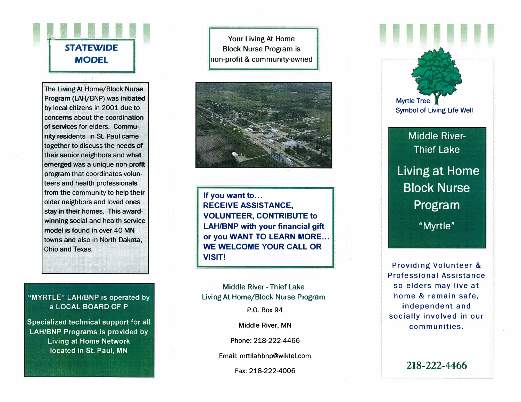# **STATEWIDE MODEL**

The Living At Home/Block Nurse Program (LAH/BNP) was initiated by local citizens in 2001 due to concerns about the coordination of services for elders. Community residents in St. Paul came together to discuss the needs of their senior neighbors and what emerged was a unique non-profit program that coordinates volunteers and health professionals from the community to help their older neighbors and loved ones stay in their homes. This awardwinning social and health service model is found in over 40 MN towns and also in North Dakota. Ohio and Texas.

#### "MYRTLE" LAH/BNP is operated by a LOCAL BOARD OF P

Specialized technical support for all **LAH/BNP Programs is provided by Living at Home Network** located in St. Paul, MN

Your Living At Home **Block Nurse Program is** non-profit & community-owned



If you want to... **RECEIVE ASSISTANCE, VOLUNTEER, CONTRIBUTE to LAH/BNP with your financial gift** or you WANT TO LEARN MORE... **WE WELCOME YOUR CALL OR VISIT!** 

Middle River - Thief Lake Living At Home/Block Nurse Program

P.O. Box 94

Middle River, MN

Phone: 218-222-4466

Email: mrtllahbnp@wiktel.com

Fax: 218-222-4006



Middle River-**Thief Lake** Living at Home **Block Nurse** Program "Myrtle"

Providing Volunteer & Professional Assistance so elders may live at home & remain safe. independent and socially involved in our communities.

218-222-4466